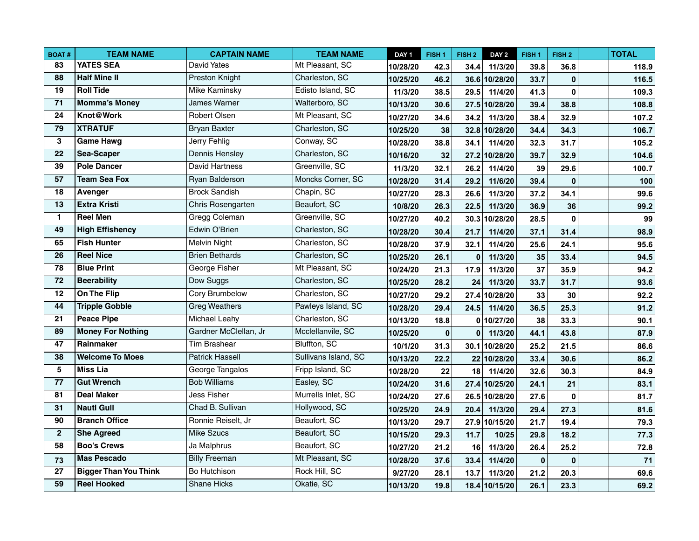| <b>BOAT#</b>    | <b>TEAM NAME</b>             | <b>CAPTAIN NAME</b>    | <b>TEAM NAME</b>     | DAY <sub>1</sub> | FISH <sub>1</sub> | FISH <sub>2</sub> | DAY <sub>2</sub> | FISH <sub>1</sub> | FISH <sub>2</sub> | <b>TOTAL</b> |
|-----------------|------------------------------|------------------------|----------------------|------------------|-------------------|-------------------|------------------|-------------------|-------------------|--------------|
| 83              | <b>YATES SEA</b>             | David Yates            | Mt Pleasant, SC      | 10/28/20         | 42.3              | 34.4              | 11/3/20          | 39.8              | 36.8              | 118.9        |
| $\overline{88}$ | <b>Half Mine II</b>          | <b>Preston Knight</b>  | Charleston, SC       | 10/25/20         | 46.2              |                   | 36.6 10/28/20    | 33.7              | $\bf{0}$          | 116.5        |
| 19              | <b>Roll Tide</b>             | Mike Kaminsky          | Edisto Island, SC    | 11/3/20          | 38.5              | 29.5              | 11/4/20          | 41.3              | $\bf{0}$          | 109.3        |
| 71              | <b>Momma's Money</b>         | <b>James Warner</b>    | Walterboro, SC       | 10/13/20         | 30.6              |                   | 27.5 10/28/20    | 39.4              | 38.8              | 108.8        |
| 24              | Knot@Work                    | Robert Olsen           | Mt Pleasant, SC      | 10/27/20         | 34.6              | 34.2              | 11/3/20          | 38.4              | 32.9              | 107.2        |
| 79              | <b>XTRATUF</b>               | <b>Bryan Baxter</b>    | Charleston, SC       | 10/25/20         | 38                |                   | 32.8 10/28/20    | 34.4              | 34.3              | 106.7        |
| 3               | <b>Game Hawg</b>             | Jerry Fehlig           | Conway, SC           | 10/28/20         | 38.8              | 34.1              | 11/4/20          | 32.3              | 31.7              | 105.2        |
| 22              | Sea-Scaper                   | Dennis Hensley         | Charleston, SC       | 10/16/20         | 32                |                   | 27.2 10/28/20    | 39.7              | 32.9              | 104.6        |
| 39              | <b>Pole Dancer</b>           | David Hartness         | Greenville, SC       | 11/3/20          | 32.1              | 26.2              | 11/4/20          | 39                | 29.6              | 100.7        |
| $\overline{57}$ | <b>Team Sea Fox</b>          | Ryan Balderson         | Moncks Corner, SC    | 10/28/20         | 31.4              | 29.2              | 11/6/20          | 39.4              | $\bf{0}$          | 100          |
| $\overline{18}$ | Avenger                      | <b>Brock Sandish</b>   | Chapin, SC           | 10/27/20         | 28.3              | 26.6              | 11/3/20          | 37.2              | 34.1              | 99.6         |
| $\overline{13}$ | <b>Extra Kristi</b>          | Chris Rosengarten      | Beaufort, SC         | 10/8/20          | 26.3              | 22.5              | 11/3/20          | 36.9              | 36                | 99.2         |
| $\blacksquare$  | <b>Reel Men</b>              | Gregg Coleman          | Greenville, SC       | 10/27/20         | 40.2              |                   | 30.3 10/28/20    | 28.5              | 0                 | 99           |
| 49              | <b>High Effishency</b>       | Edwin O'Brien          | Charleston, SC       | 10/28/20         | 30.4              | 21.7              | 11/4/20          | 37.1              | 31.4              | 98.9         |
| 65              | <b>Fish Hunter</b>           | <b>Melvin Night</b>    | Charleston, SC       | 10/28/20         | 37.9              | 32.1              | 11/4/20          | 25.6              | 24.1              | 95.6         |
| 26              | <b>Reel Nice</b>             | <b>Brien Bethards</b>  | Charleston, SC       | 10/25/20         | 26.1              | $\mathbf 0$       | 11/3/20          | 35                | 33.4              | 94.5         |
| 78              | <b>Blue Print</b>            | George Fisher          | Mt Pleasant, SC      | 10/24/20         | 21.3              | 17.9              | 11/3/20          | 37                | 35.9              | 94.2         |
| $\overline{72}$ | <b>Beerability</b>           | Dow Suggs              | Charleston, SC       | 10/25/20         | 28.2              | 24                | 11/3/20          | 33.7              | 31.7              | 93.6         |
| $\overline{12}$ | On The Flip                  | Cory Brumbelow         | Charleston, SC       | 10/27/20         | 29.2              |                   | 27.4 10/28/20    | 33                | 30                | 92.2         |
| 44              | <b>Tripple Gobble</b>        | <b>Greg Weathers</b>   | Pawleys Island, SC   | 10/28/20         | 29.4              | 24.5              | 11/4/20          | 36.5              | 25.3              | 91.2         |
| $\overline{21}$ | <b>Peace Pipe</b>            | Michael Leahy          | Charleston, SC       | 10/13/20         | 18.8              |                   | 0 10/27/20       | 38                | 33.3              | 90.1         |
| 89              | <b>Money For Nothing</b>     | Gardner McClellan, Jr  | Mcclellanvile, SC    | 10/25/20         | $\bf{0}$          | $\bf{0}$          | 11/3/20          | 44.1              | 43.8              | 87.9         |
| 47              | Rainmaker                    | Tim Brashear           | Bluffton, SC         | 10/1/20          | 31.3              |                   | 30.1 10/28/20    | 25.2              | 21.5              | 86.6         |
| 38              | <b>Welcome To Moes</b>       | <b>Patrick Hassell</b> | Sullivans Island, SC | 10/13/20         | 22.2              |                   | 22 10/28/20      | 33.4              | 30.6              | 86.2         |
| 5               | <b>Miss Lia</b>              | George Tangalos        | Fripp Island, SC     | 10/28/20         | 22                | 18                | 11/4/20          | 32.6              | 30.3              | 84.9         |
| 77              | <b>Gut Wrench</b>            | <b>Bob Williams</b>    | Easley, SC           | 10/24/20         | 31.6              |                   | 27.4 10/25/20    | 24.1              | 21                | 83.1         |
| $\overline{81}$ | <b>Deal Maker</b>            | Jess Fisher            | Murrells Inlet, SC   | 10/24/20         | 27.6              |                   | 26.5 10/28/20    | 27.6              | $\bf{0}$          | 81.7         |
| 31              | <b>Nauti Gull</b>            | Chad B. Sullivan       | Hollywood, SC        | 10/25/20         | 24.9              | 20.4              | 11/3/20          | 29.4              | 27.3              | 81.6         |
| 90              | <b>Branch Office</b>         | Ronnie Reiselt, Jr     | Beaufort, SC         | 10/13/20         | 29.7              |                   | 27.9 10/15/20    | 21.7              | 19.4              | 79.3         |
| $\mathbf{2}$    | <b>She Agreed</b>            | <b>Mike Szucs</b>      | Beaufort, SC         | 10/15/20         | 29.3              | 11.7              | 10/25            | 29.8              | 18.2              | 77.3         |
| $\overline{58}$ | <b>Boo's Crews</b>           | Ja Malphrus            | Beaufort, SC         | 10/27/20         | 21.2              | 16                | 11/3/20          | 26.4              | 25.2              | 72.8         |
| 73              | <b>Mas Pescado</b>           | <b>Billy Freeman</b>   | Mt Pleasant, SC      | 10/28/20         | 37.6              | 33.4              | 11/4/20          | $\mathbf 0$       | $\mathbf{0}$      | 71           |
| $\overline{27}$ | <b>Bigger Than You Think</b> | Bo Hutchison           | Rock Hill, SC        | 9/27/20          | 28.1              | 13.7              | 11/3/20          | 21.2              | 20.3              | 69.6         |
| 59              | <b>Reel Hooked</b>           | <b>Shane Hicks</b>     | Okatie, SC           | 10/13/20         | 19.8              |                   | 18.4 10/15/20    | 26.1              | 23.3              | 69.2         |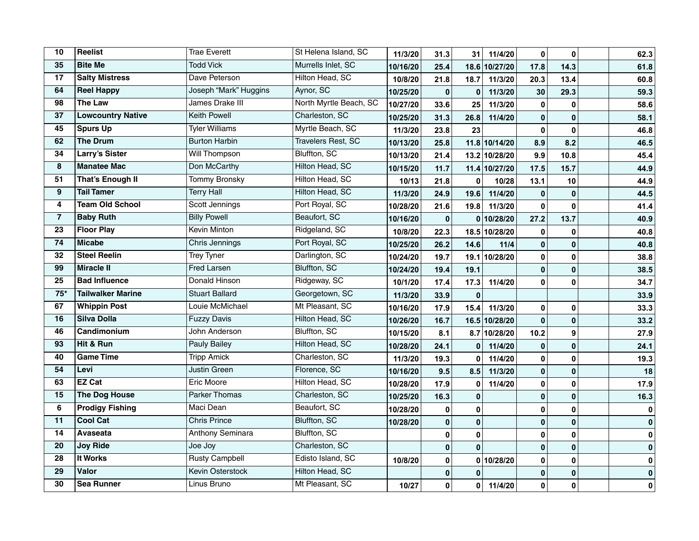| 10               | Reelist                  | <b>Trae Everett</b>     | St Helena Island, SC      | 11/3/20  | 31.3         | 31           | 11/4/20       | 0            | $\mathbf 0$  | 62.3      |
|------------------|--------------------------|-------------------------|---------------------------|----------|--------------|--------------|---------------|--------------|--------------|-----------|
| 35               | <b>Bite Me</b>           | <b>Todd Vick</b>        | Murrells Inlet, SC        | 10/16/20 | 25.4         |              | 18.6 10/27/20 | 17.8         | 14.3         | 61.8      |
| 17               | <b>Salty Mistress</b>    | Dave Peterson           | Hilton Head, SC           | 10/8/20  | 21.8         | 18.7         | 11/3/20       | 20.3         | 13.4         | 60.8      |
| 64               | <b>Reel Happy</b>        | Joseph "Mark" Huggins   | Aynor, SC                 | 10/25/20 | $\mathbf 0$  | $\mathbf 0$  | 11/3/20       | 30           | 29.3         | 59.3      |
| 98               | <b>The Law</b>           | James Drake III         | North Myrtle Beach, SC    | 10/27/20 | 33.6         | 25           | 11/3/20       | 0            | 0            | 58.6      |
| $\overline{37}$  | <b>Lowcountry Native</b> | <b>Keith Powell</b>     | Charleston, SC            | 10/25/20 | 31.3         | 26.8         | 11/4/20       | 0            | $\mathbf{0}$ | 58.1      |
| 45               | <b>Spurs Up</b>          | <b>Tyler Williams</b>   | Myrtle Beach, SC          | 11/3/20  | 23.8         | 23           |               | 0            | $\mathbf{0}$ | 46.8      |
| 62               | <b>The Drum</b>          | <b>Burton Harbin</b>    | <b>Travelers Rest, SC</b> | 10/13/20 | 25.8         |              | 11.8 10/14/20 | 8.9          | 8.2          | 46.5      |
| 34               | <b>Larry's Sister</b>    | Will Thompson           | Bluffton, SC              | 10/13/20 | 21.4         |              | 13.2 10/28/20 | 9.9          | 10.8         | 45.4      |
| 8                | <b>Manatee Mac</b>       | Don McCarthy            | <b>Hilton Head, SC</b>    | 10/15/20 | 11.7         |              | 11.4 10/27/20 | 17.5         | 15.7         | 44.9      |
| $\overline{51}$  | <b>That's Enough II</b>  | <b>Tommy Bronsky</b>    | Hilton Head, SC           | 10/13    | 21.8         | $\mathbf{0}$ | 10/28         | 13.1         | 10           | 44.9      |
| $\boldsymbol{9}$ | <b>Tail Tamer</b>        | <b>Terry Hall</b>       | Hilton Head, SC           | 11/3/20  | 24.9         | 19.6         | 11/4/20       | 0            | $\mathbf{0}$ | 44.5      |
| 4                | <b>Team Old School</b>   | Scott Jennings          | Port Royal, SC            | 10/28/20 | 21.6         | 19.8         | 11/3/20       | 0            | $\mathbf 0$  | 41.4      |
| $\overline{7}$   | <b>Baby Ruth</b>         | <b>Billy Powell</b>     | Beaufort, SC              | 10/16/20 | $\mathbf 0$  |              | 0 10/28/20    | 27.2         | 13.7         | 40.9      |
| 23               | Floor Play               | Kevin Minton            | Ridgeland, SC             | 10/8/20  | 22.3         |              | 18.5 10/28/20 | $\bf{0}$     | $\mathbf 0$  | 40.8      |
| 74               | <b>Micabe</b>            | Chris Jennings          | Port Royal, SC            | 10/25/20 | 26.2         | 14.6         | 11/4          | 0            | $\mathbf 0$  | 40.8      |
| 32               | <b>Steel Reelin</b>      | Trey Tyner              | Darlington, SC            | 10/24/20 | 19.7         | 19.1         | 10/28/20      | $\mathbf{0}$ | $\mathbf{0}$ | 38.8      |
| 99               | <b>Miracle II</b>        | <b>Fred Larsen</b>      | <b>Bluffton, SC</b>       | 10/24/20 | 19.4         | 19.1         |               | 0            | $\mathbf{0}$ | 38.5      |
| $\overline{25}$  | <b>Bad Influence</b>     | <b>Donald Hinson</b>    | Ridgeway, SC              | 10/1/20  | 17.4         | 17.3         | 11/4/20       | $\mathbf{0}$ | $\bf{0}$     | 34.7      |
| $75*$            | <b>Tailwalker Marine</b> | <b>Stuart Ballard</b>   | Georgetown, SC            | 11/3/20  | 33.9         | $\bf{0}$     |               |              |              | 33.9      |
| 67               | <b>Whippin Post</b>      | Louie McMichael         | Mt Pleasant, SC           | 10/16/20 | 17.9         | 15.4         | 11/3/20       | 0            | $\mathbf{0}$ | 33.3      |
| 16               | <b>Silva Dolla</b>       | <b>Fuzzy Davis</b>      | Hilton Head, SC           | 10/26/20 | 16.7         |              | 16.5 10/28/20 | 0            | $\mathbf{0}$ | 33.2      |
| 46               | Candimonium              | John Anderson           | Bluffton, SC              | 10/15/20 | 8.1          |              | 8.7 10/28/20  | 10.2         | 9            | 27.9      |
| 93               | Hit & Run                | Pauly Bailey            | Hilton Head, SC           | 10/28/20 | 24.1         | $\bf{0}$     | 11/4/20       | $\mathbf{0}$ | $\mathbf{0}$ | 24.1      |
| 40               | <b>Game Time</b>         | <b>Tripp Amick</b>      | Charleston, SC            | 11/3/20  | 19.3         | $\bf{0}$     | 11/4/20       | $\mathbf 0$  | $\mathbf{0}$ | 19.3      |
| 54               | Levi                     | Justin Green            | Florence, SC              | 10/16/20 | 9.5          | 8.5          | 11/3/20       | $\mathbf{0}$ | $\mathbf{0}$ | 18        |
| 63               | <b>EZ Cat</b>            | <b>Eric Moore</b>       | Hilton Head, SC           | 10/28/20 | 17.9         | 0            | 11/4/20       | 0            | $\mathbf 0$  | 17.9      |
| 15               | <b>The Dog House</b>     | <b>Parker Thomas</b>    | Charleston, SC            | 10/25/20 | 16.3         | $\bf{0}$     |               | 0            | $\mathbf{0}$ | 16.3      |
| 6                | <b>Prodigy Fishing</b>   | Maci Dean               | Beaufort, SC              | 10/28/20 | 0            | 0            |               | 0            | $\mathbf 0$  | $\pmb{0}$ |
| 11               | <b>Cool Cat</b>          | <b>Chris Prince</b>     | <b>Bluffton, SC</b>       | 10/28/20 | $\mathbf{0}$ | $\mathbf 0$  |               | 0            | $\mathbf{0}$ | $\pmb{0}$ |
| 14               | Avaseata                 | Anthony Seminara        | Bluffton, SC              |          | 0            | $\mathbf{0}$ |               | 0            | 0            | $\pmb{0}$ |
| 20               | <b>Joy Ride</b>          | Joe Joy                 | Charleston, SC            |          | 0            | $\mathbf{0}$ |               | 0            | $\mathbf{0}$ | $\pmb{0}$ |
| 28               | It Works                 | <b>Rusty Campbell</b>   | Edisto Island, SC         | 10/8/20  | 0            |              | 0 10/28/20    | 0            | $\mathbf 0$  | $\pmb{0}$ |
| $\overline{29}$  | Valor                    | <b>Kevin Osterstock</b> | <b>Hilton Head, SC</b>    |          | $\mathbf 0$  | $\mathbf{0}$ |               | $\mathbf{0}$ | $\mathbf{0}$ | $\pmb{0}$ |
| $\overline{30}$  | <b>Sea Runner</b>        | Linus Bruno             | Mt Pleasant, SC           | 10/27    | 0            | $\pmb{0}$    | 11/4/20       | 0            | 0            | $\pmb{0}$ |